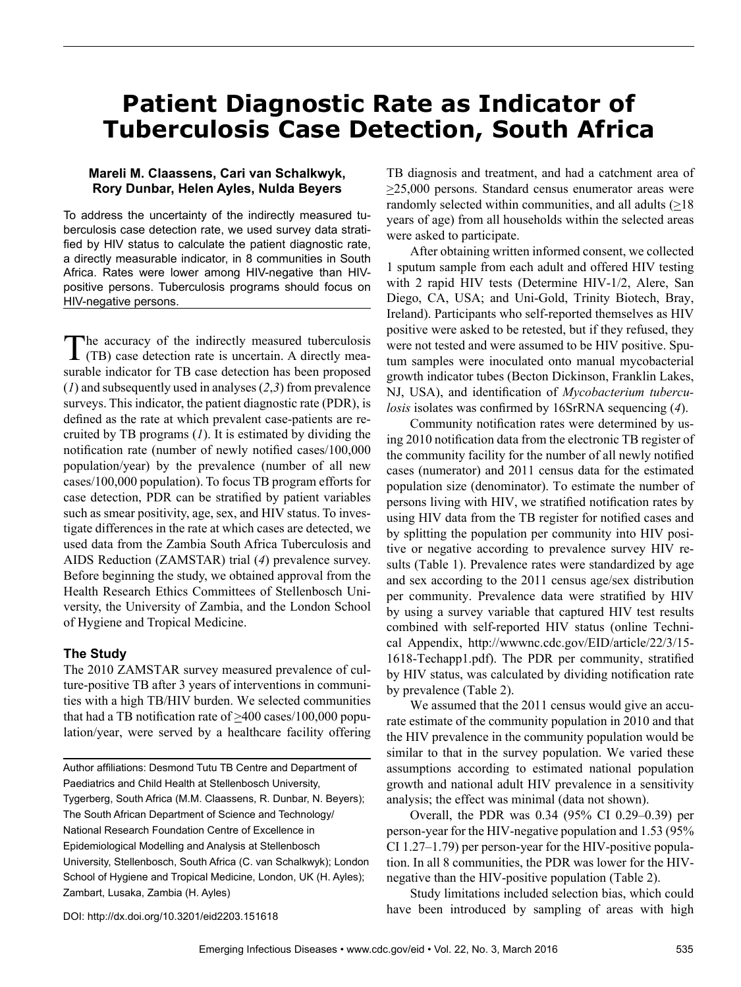# **Patient Diagnostic Rate as Indicator of Tuberculosis Case Detection, South Africa**

# **Mareli M. Claassens, Cari van Schalkwyk, Rory Dunbar, Helen Ayles, Nulda Beyers**

To address the uncertainty of the indirectly measured tuberculosis case detection rate, we used survey data stratified by HIV status to calculate the patient diagnostic rate, a directly measurable indicator, in 8 communities in South Africa. Rates were lower among HIV-negative than HIVpositive persons. Tuberculosis programs should focus on HIV-negative persons.

The accuracy of the indirectly measured tuberculosis (TB) case detection rate is uncertain. A directly measurable indicator for TB case detection has been proposed (*1*) and subsequently used in analyses (*2*,*3*) from prevalence surveys. This indicator, the patient diagnostic rate (PDR), is defined as the rate at which prevalent case-patients are recruited by TB programs (*1*). It is estimated by dividing the notification rate (number of newly notified cases/100,000 population/year) by the prevalence (number of all new cases/100,000 population). To focus TB program efforts for case detection, PDR can be stratified by patient variables such as smear positivity, age, sex, and HIV status. To investigate differences in the rate at which cases are detected, we used data from the Zambia South Africa Tuberculosis and AIDS Reduction (ZAMSTAR) trial (*4*) prevalence survey. Before beginning the study, we obtained approval from the Health Research Ethics Committees of Stellenbosch University, the University of Zambia, and the London School of Hygiene and Tropical Medicine.

# **The Study**

The 2010 ZAMSTAR survey measured prevalence of culture-positive TB after 3 years of interventions in communities with a high TB/HIV burden. We selected communities that had a TB notification rate of >400 cases/100,000 population/year, were served by a healthcare facility offering

Author affiliations: Desmond Tutu TB Centre and Department of Paediatrics and Child Health at Stellenbosch University, Tygerberg, South Africa (M.M. Claassens, R. Dunbar, N. Beyers); The South African Department of Science and Technology/ National Research Foundation Centre of Excellence in Epidemiological Modelling and Analysis at Stellenbosch University, Stellenbosch, South Africa (C. van Schalkwyk); London School of Hygiene and Tropical Medicine, London, UK (H. Ayles); Zambart, Lusaka, Zambia (H. Ayles)

TB diagnosis and treatment, and had a catchment area of  $\geq$ 25,000 persons. Standard census enumerator areas were randomly selected within communities, and all adults  $(≥18$ years of age) from all households within the selected areas were asked to participate.

After obtaining written informed consent, we collected 1 sputum sample from each adult and offered HIV testing with 2 rapid HIV tests (Determine HIV-1/2, Alere, San Diego, CA, USA; and Uni-Gold, Trinity Biotech, Bray, Ireland). Participants who self-reported themselves as HIV positive were asked to be retested, but if they refused, they were not tested and were assumed to be HIV positive. Sputum samples were inoculated onto manual mycobacterial growth indicator tubes (Becton Dickinson, Franklin Lakes, NJ, USA), and identification of *Mycobacterium tuberculosis* isolates was confirmed by 16SrRNA sequencing (*4*).

Community notification rates were determined by using 2010 notification data from the electronic TB register of the community facility for the number of all newly notified cases (numerator) and 2011 census data for the estimated population size (denominator). To estimate the number of persons living with HIV, we stratified notification rates by using HIV data from the TB register for notified cases and by splitting the population per community into HIV positive or negative according to prevalence survey HIV results (Table 1). Prevalence rates were standardized by age and sex according to the 2011 census age/sex distribution per community. Prevalence data were stratified by HIV by using a survey variable that captured HIV test results combined with self-reported HIV status (online Technical Appendix, http://wwwnc.cdc.gov/EID/article/22/3/15- 1618-Techapp1.pdf). The PDR per community, stratified by HIV status, was calculated by dividing notification rate by prevalence (Table 2).

We assumed that the 2011 census would give an accurate estimate of the community population in 2010 and that the HIV prevalence in the community population would be similar to that in the survey population. We varied these assumptions according to estimated national population growth and national adult HIV prevalence in a sensitivity analysis; the effect was minimal (data not shown).

Overall, the PDR was 0.34 (95% CI 0.29–0.39) per person-year for the HIV-negative population and 1.53 (95% CI 1.27–1.79) per person-year for the HIV-positive population. In all 8 communities, the PDR was lower for the HIVnegative than the HIV-positive population (Table 2).

Study limitations included selection bias, which could have been introduced by sampling of areas with high

DOI: http://dx.doi.org/10.3201/eid2203.151618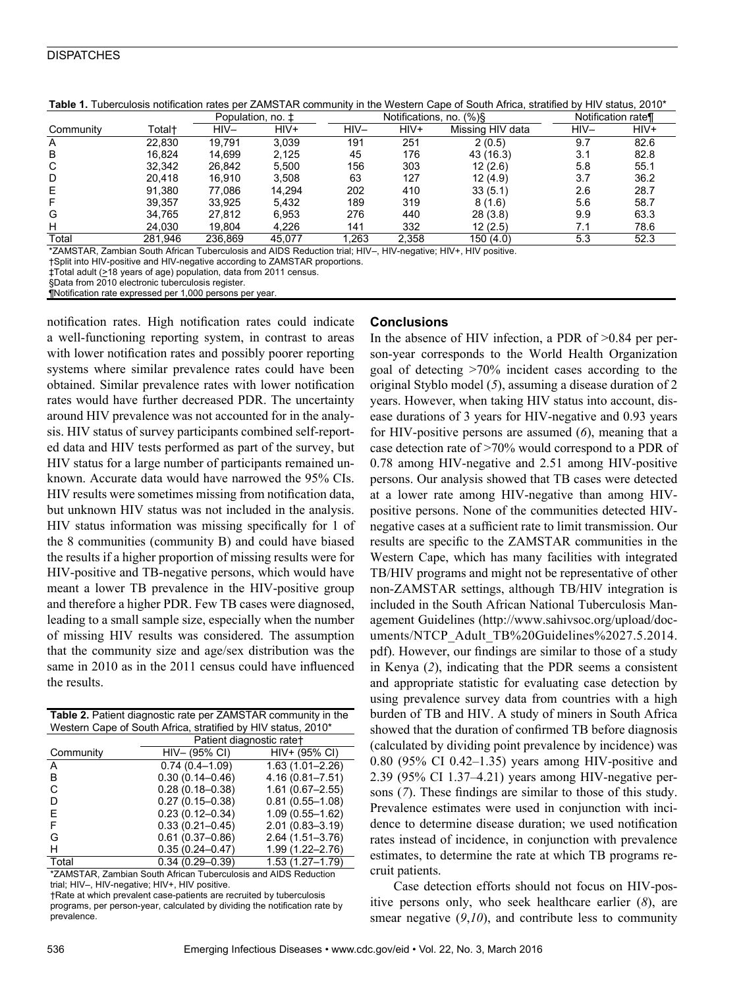#### **DISPATCHES**

|           |         |         | Notifications, no.<br>$(\% )\$<br>Population, no. ± |        |       | Notification rate¶ |        |      |
|-----------|---------|---------|-----------------------------------------------------|--------|-------|--------------------|--------|------|
| Community | Total†  | HIV-    | HIV+                                                | $HIV-$ | HIV+  | Missing HIV data   | $HIV-$ | HIV+ |
| A         | 22.830  | 19.791  | 3.039                                               | 191    | 251   | 2(0.5)             | 9.7    | 82.6 |
| B         | 16.824  | 14.699  | 2.125                                               | 45     | 176   | 43 (16.3)          | 3.1    | 82.8 |
| C         | 32,342  | 26.842  | 5.500                                               | 156    | 303   | 12(2.6)            | 5.8    | 55.1 |
| D         | 20.418  | 16.910  | 3.508                                               | 63     | 127   | 12(4.9)            | 3.7    | 36.2 |
| Е         | 91,380  | 77.086  | 14.294                                              | 202    | 410   | 33(5.1)            | 2.6    | 28.7 |
| F         | 39,357  | 33.925  | 5.432                                               | 189    | 319   | 8(1.6)             | 5.6    | 58.7 |
| G         | 34.765  | 27.812  | 6.953                                               | 276    | 440   | 28(3.8)            | 9.9    | 63.3 |
| н         | 24,030  | 19.804  | 4.226                                               | 141    | 332   | 12(2.5)            | 7.1    | 78.6 |
| Total     | 281.946 | 236.869 | 45.077                                              | .263   | 2,358 | 150(4.0)           | 5.3    | 52.3 |

**Table 1.** Tuberculosis notification rates per ZAMSTAR community in the Western Cape of South Africa, stratified by HIV status, 2010\*

\*ZAMSTAR, Zambian South African Tuberculosis and AIDS Reduction trial; HIV–, HIV-negative; HIV+, HIV positive.

†Split into HIV-positive and HIV-negative according to ZAMSTAR proportions.

‡Total adult (>18 years of age) population, data from 2011 census.

§Data from 2010 electronic tuberculosis register.

¶Notification rate expressed per 1,000 persons per year.

notification rates. High notification rates could indicate a well-functioning reporting system, in contrast to areas with lower notification rates and possibly poorer reporting systems where similar prevalence rates could have been obtained. Similar prevalence rates with lower notification rates would have further decreased PDR. The uncertainty around HIV prevalence was not accounted for in the analysis. HIV status of survey participants combined self-reported data and HIV tests performed as part of the survey, but HIV status for a large number of participants remained unknown. Accurate data would have narrowed the 95% CIs. HIV results were sometimes missing from notification data, but unknown HIV status was not included in the analysis. HIV status information was missing specifically for 1 of the 8 communities (community B) and could have biased the results if a higher proportion of missing results were for HIV-positive and TB-negative persons, which would have meant a lower TB prevalence in the HIV-positive group and therefore a higher PDR. Few TB cases were diagnosed, leading to a small sample size, especially when the number of missing HIV results was considered. The assumption that the community size and age/sex distribution was the same in 2010 as in the 2011 census could have influenced the results.

| <b>Table 2.</b> Patient diagnostic rate per ZAMSTAR community in the |
|----------------------------------------------------------------------|
| Western Cape of South Africa, stratified by HIV status, 2010*        |

|           | Patient diagnostic rate+ |                     |  |  |
|-----------|--------------------------|---------------------|--|--|
| Community | HIV- (95% CI)            | HIV+ (95% CI)       |  |  |
| A         | $0.74(0.4 - 1.09)$       | $1.63(1.01 - 2.26)$ |  |  |
| В         | $0.30(0.14 - 0.46)$      | $4.16(0.81 - 7.51)$ |  |  |
| C         | $0.28(0.18 - 0.38)$      | $1.61(0.67 - 2.55)$ |  |  |
| D         | $0.27(0.15 - 0.38)$      | $0.81(0.55 - 1.08)$ |  |  |
| E         | $0.23(0.12 - 0.34)$      | $1.09(0.55 - 1.62)$ |  |  |
| F         | $0.33(0.21 - 0.45)$      | $2.01(0.83 - 3.19)$ |  |  |
| G         | $0.61(0.37 - 0.86)$      | $2.64(1.51 - 3.76)$ |  |  |
| н         | $0.35(0.24 - 0.47)$      | $1.99(1.22 - 2.76)$ |  |  |
| Total     | $0.34(0.29 - 0.39)$      | $1.53(1.27 - 1.79)$ |  |  |

\*ZAMSTAR, Zambian South African Tuberculosis and AIDS Reduction trial; HIV-, HIV-negative; HIV+, HIV positive.

†Rate at which prevalent case-patients are recruited by tuberculosis programs, per person-year, calculated by dividing the notification rate by prevalence.

#### **Conclusions**

In the absence of HIV infection, a PDR of  $>0.84$  per person-year corresponds to the World Health Organization goal of detecting >70% incident cases according to the original Styblo model (*5*), assuming a disease duration of 2 years. However, when taking HIV status into account, disease durations of 3 years for HIV-negative and 0.93 years for HIV-positive persons are assumed (*6*), meaning that a case detection rate of >70% would correspond to a PDR of 0.78 among HIV-negative and 2.51 among HIV-positive persons. Our analysis showed that TB cases were detected at a lower rate among HIV-negative than among HIVpositive persons. None of the communities detected HIVnegative cases at a sufficient rate to limit transmission. Our results are specific to the ZAMSTAR communities in the Western Cape, which has many facilities with integrated TB/HIV programs and might not be representative of other non-ZAMSTAR settings, although TB/HIV integration is included in the South African National Tuberculosis Management Guidelines (http://www.sahivsoc.org/upload/documents/NTCP\_Adult\_TB%20Guidelines%2027.5.2014. pdf). However, our findings are similar to those of a study in Kenya (*2*), indicating that the PDR seems a consistent and appropriate statistic for evaluating case detection by using prevalence survey data from countries with a high burden of TB and HIV. A study of miners in South Africa showed that the duration of confirmed TB before diagnosis (calculated by dividing point prevalence by incidence) was 0.80 (95% CI 0.42–1.35) years among HIV-positive and 2.39 (95% CI 1.37–4.21) years among HIV-negative persons (*7*). These findings are similar to those of this study. Prevalence estimates were used in conjunction with incidence to determine disease duration; we used notification rates instead of incidence, in conjunction with prevalence estimates, to determine the rate at which TB programs recruit patients.

Case detection efforts should not focus on HIV-positive persons only, who seek healthcare earlier (*8*), are smear negative (*9*,*10*), and contribute less to community